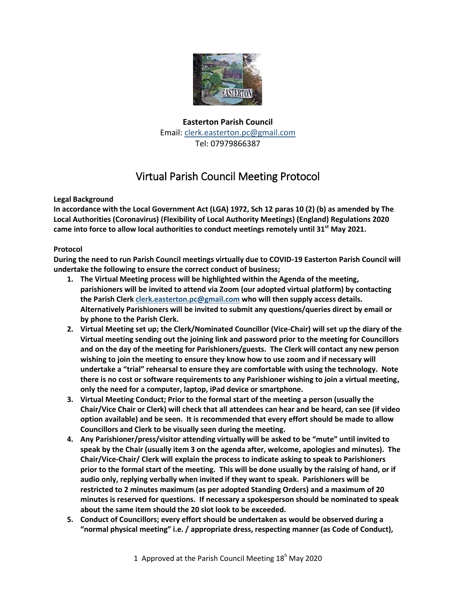

## **Easterton Parish Council** Email[: clerk.easterton.pc@gmail.com](mailto:clerk.easterton.pc@gmail.com) Tel: 07979866387

## Virtual Parish Council Meeting Protocol

## **Legal Background**

**In accordance with the Local Government Act (LGA) 1972, Sch 12 paras 10 (2) (b) as amended by The Local Authorities (Coronavirus) (Flexibility of Local Authority Meetings) (England) Regulations 2020 came into force to allow local authorities to conduct meetings remotely until 31st May 2021.**

## **Protocol**

**During the need to run Parish Council meetings virtually due to COVID-19 Easterton Parish Council will undertake the following to ensure the correct conduct of business;**

- **1. The Virtual Meeting process will be highlighted within the Agenda of the meeting, parishioners will be invited to attend via Zoom (our adopted virtual platform) by contacting the Parish Clerk [clerk.easterton.pc@gmail.com](mailto:clerk.easterton.pc@gmail.com) who will then supply access details. Alternatively Parishioners will be invited to submit any questions/queries direct by email or by phone to the Parish Clerk.**
- **2. Virtual Meeting set up; the Clerk/Nominated Councillor (Vice-Chair) will set up the diary of the Virtual meeting sending out the joining link and password prior to the meeting for Councillors and on the day of the meeting for Parishioners/guests. The Clerk will contact any new person wishing to join the meeting to ensure they know how to use zoom and if necessary will undertake a "trial" rehearsal to ensure they are comfortable with using the technology. Note there is no cost or software requirements to any Parishioner wishing to join a virtual meeting, only the need for a computer, laptop, iPad device or smartphone.**
- **3. Virtual Meeting Conduct; Prior to the formal start of the meeting a person (usually the Chair/Vice Chair or Clerk) will check that all attendees can hear and be heard, can see (if video option available) and be seen. It is recommended that every effort should be made to allow Councillors and Clerk to be visually seen during the meeting.**
- **4. Any Parishioner/press/visitor attending virtually will be asked to be "mute" until invited to speak by the Chair (usually item 3 on the agenda after, welcome, apologies and minutes). The Chair/Vice-Chair/ Clerk will explain the process to indicate asking to speak to Parishioners prior to the formal start of the meeting. This will be done usually by the raising of hand, or if audio only, replying verbally when invited if they want to speak. Parishioners will be restricted to 2 minutes maximum (as per adopted Standing Orders) and a maximum of 20 minutes is reserved for questions. If necessary a spokesperson should be nominated to speak about the same item should the 20 slot look to be exceeded.**
- **5. Conduct of Councillors; every effort should be undertaken as would be observed during a "normal physical meeting" i.e. / appropriate dress, respecting manner (as Code of Conduct),**